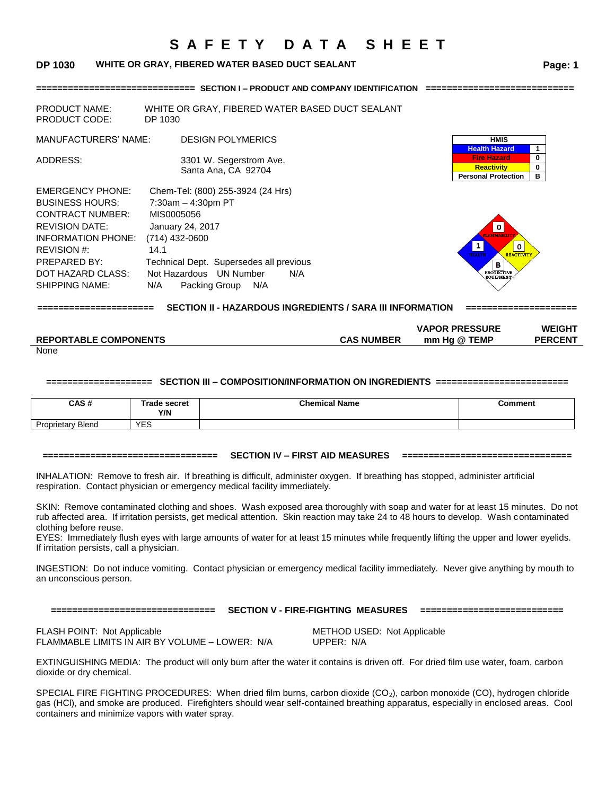### **DP 1030 WHITE OR GRAY, FIBERED WATER BASED DUCT SEALANT Page: 1**

**============================== SECTION I – PRODUCT AND COMPANY IDENTIFICATION ============================** 

| <b>PRODUCT NAME:</b><br><b>PRODUCT CODE:</b>                                                                                                                                                                    | WHITE OR GRAY, FIBERED WATER BASED DUCT SEALANT<br>DP 1030                                                                                                                                                                          |                                                                                                                          |             |
|-----------------------------------------------------------------------------------------------------------------------------------------------------------------------------------------------------------------|-------------------------------------------------------------------------------------------------------------------------------------------------------------------------------------------------------------------------------------|--------------------------------------------------------------------------------------------------------------------------|-------------|
| <b>MANUFACTURERS' NAME:</b>                                                                                                                                                                                     | <b>DESIGN POLYMERICS</b>                                                                                                                                                                                                            | <b>HMIS</b><br><b>Health Hazard</b>                                                                                      |             |
| ADDRESS:                                                                                                                                                                                                        | 3301 W. Segerstrom Ave.<br>Santa Ana, CA 92704                                                                                                                                                                                      | <b>Fire Hazard</b><br><b>Reactivity</b><br><b>Personal Protection</b>                                                    | 0<br>0<br>в |
| <b>EMERGENCY PHONE:</b><br><b>BUSINESS HOURS:</b><br><b>CONTRACT NUMBER:</b><br><b>REVISION DATE:</b><br><b>INFORMATION PHONE:</b><br>REVISION #:<br>PREPARED BY:<br>DOT HAZARD CLASS:<br><b>SHIPPING NAME:</b> | Chem-Tel: (800) 255-3924 (24 Hrs)<br>$7:30am - 4:30pm$ PT<br>MIS0005056<br>January 24, 2017<br>$(714)$ 432-0600<br>14.1<br>Technical Dept. Supersedes all previous<br>Not Hazardous UN Number<br>N/A<br>N/A<br>Packing Group<br>N/A | $\mathbf 0$<br><b>FLAMMARIL</b><br>0<br><b>HEALTH</b><br><b>REACTIVITY</b><br>В<br><b>PROTECTIVE</b><br><b>EOUIPMENT</b> |             |

**====================== SECTION II - HAZARDOUS INGREDIENTS / SARA III INFORMATION =====================**

|                              |                   | <b>VAPOR PRESSURE</b> | <b>WEIGHT</b>  |
|------------------------------|-------------------|-----------------------|----------------|
| <b>REPORTABLE COMPONENTS</b> | <b>CAS NUMBER</b> | mm Ha @ TEMP          | <b>PERCENT</b> |
| <b>Nono</b>                  |                   |                       |                |

None

#### **==================== SECTION III – COMPOSITION/INFORMATION ON INGREDIENTS =========================**

| CAS#                     | Trade secret<br>Y/N | <b>Chemical Name</b> | Comment |
|--------------------------|---------------------|----------------------|---------|
| <b>Proprietary Blend</b> | <b>VEC</b><br>∟ພ    |                      |         |

#### **================================= SECTION IV – FIRST AID MEASURES ================================**

INHALATION: Remove to fresh air. If breathing is difficult, administer oxygen. If breathing has stopped, administer artificial respiration. Contact physician or emergency medical facility immediately.

SKIN: Remove contaminated clothing and shoes. Wash exposed area thoroughly with soap and water for at least 15 minutes. Do not rub affected area. If irritation persists, get medical attention. Skin reaction may take 24 to 48 hours to develop. Wash contaminated clothing before reuse.

EYES: Immediately flush eyes with large amounts of water for at least 15 minutes while frequently lifting the upper and lower eyelids. If irritation persists, call a physician.

INGESTION: Do not induce vomiting. Contact physician or emergency medical facility immediately. Never give anything by mouth to an unconscious person.

|  | -------------------------   |
|--|-----------------------------|
|  | --------------------------- |
|  |                             |

#### **=============================== SECTION V - FIRE-FIGHTING MEASURES ===========================**

FLASH POINT: Not Applicable<br>
FLAMMABLE LIMITS IN AIR BY VOLUME - LOWER: N/A UPPER: N/A FLAMMABLE LIMITS IN AIR BY VOLUME - LOWER: N/A

EXTINGUISHING MEDIA: The product will only burn after the water it contains is driven off. For dried film use water, foam, carbon dioxide or dry chemical.

SPECIAL FIRE FIGHTING PROCEDURES: When dried film burns, carbon dioxide (CO<sub>2</sub>), carbon monoxide (CO), hydrogen chloride gas (HCl), and smoke are produced. Firefighters should wear self-contained breathing apparatus, especially in enclosed areas. Cool containers and minimize vapors with water spray.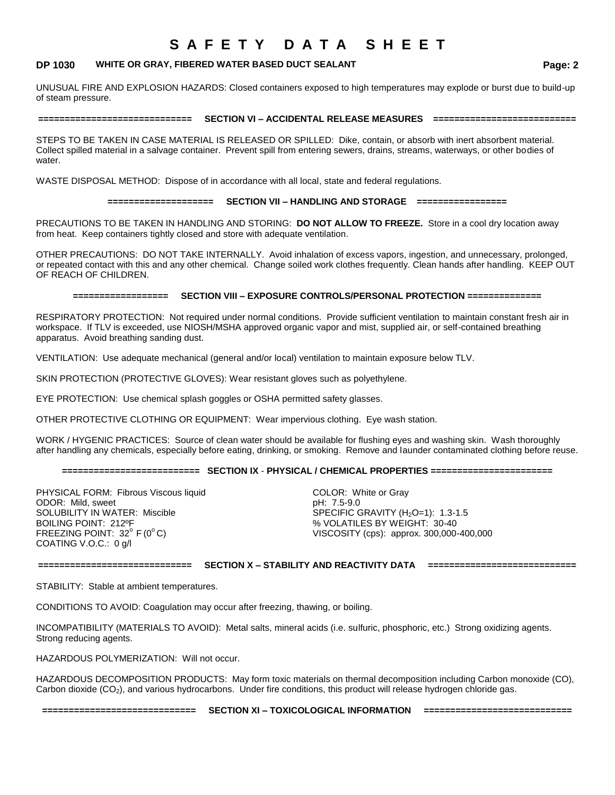### **DP 1030 WHITE OR GRAY, FIBERED WATER BASED DUCT SEALANT Page: 2**

UNUSUAL FIRE AND EXPLOSION HAZARDS: Closed containers exposed to high temperatures may explode or burst due to build-up of steam pressure.

#### **============================= SECTION VI – ACCIDENTAL RELEASE MEASURES ===========================**

STEPS TO BE TAKEN IN CASE MATERIAL IS RELEASED OR SPILLED: Dike, contain, or absorb with inert absorbent material. Collect spilled material in a salvage container. Prevent spill from entering sewers, drains, streams, waterways, or other bodies of water.

WASTE DISPOSAL METHOD: Dispose of in accordance with all local, state and federal regulations.

#### **==================== SECTION VII – HANDLING AND STORAGE =================**

PRECAUTIONS TO BE TAKEN IN HANDLING AND STORING: **DO NOT ALLOW TO FREEZE.** Store in a cool dry location away from heat. Keep containers tightly closed and store with adequate ventilation.

OTHER PRECAUTIONS: DO NOT TAKE INTERNALLY. Avoid inhalation of excess vapors, ingestion, and unnecessary, prolonged, or repeated contact with this and any other chemical. Change soiled work clothes frequently. Clean hands after handling. KEEP OUT OF REACH OF CHILDREN.

#### **================== SECTION VIII – EXPOSURE CONTROLS/PERSONAL PROTECTION ==============**

RESPIRATORY PROTECTION: Not required under normal conditions. Provide sufficient ventilation to maintain constant fresh air in workspace. If TLV is exceeded, use NIOSH/MSHA approved organic vapor and mist, supplied air, or self-contained breathing apparatus. Avoid breathing sanding dust.

VENTILATION: Use adequate mechanical (general and/or local) ventilation to maintain exposure below TLV.

SKIN PROTECTION (PROTECTIVE GLOVES): Wear resistant gloves such as polyethylene.

EYE PROTECTION: Use chemical splash goggles or OSHA permitted safety glasses.

OTHER PROTECTIVE CLOTHING OR EQUIPMENT: Wear impervious clothing. Eye wash station.

WORK / HYGENIC PRACTICES: Source of clean water should be available for flushing eyes and washing skin. Wash thoroughly after handling any chemicals, especially before eating, drinking, or smoking. Remove and launder contaminated clothing before reuse.

#### **========================== SECTION IX** - **PHYSICAL / CHEMICAL PROPERTIES =======================**

PHYSICAL FORM: Fibrous Viscous liquid COLOR: White or Gray ODOR: Mild, sweet pH: 7.5-9.0 SOLUBILITY IN WATER: Miscible SPECIFIC GRAVITY (H<sub>2</sub>O=1): 1.3-1.5<br>BOILING POINT: 212ºF SPECIFIC SPECIFIC SPECIFIC SPECIFIT: 30-40 COATING V.O.C.: 0 g/l

% VOLATILES BY WEIGHT: 30-40 FREEZING POINT:  $32^{\circ}$  F (0 $^{\circ}$ C)  $\qquad$  VISCOSITY (cps): approx. 300,000-400,000

**============================= SECTION X – STABILITY AND REACTIVITY DATA ============================**

STABILITY: Stable at ambient temperatures.

CONDITIONS TO AVOID: Coagulation may occur after freezing, thawing, or boiling.

INCOMPATIBILITY (MATERIALS TO AVOID): Metal salts, mineral acids (i.e. sulfuric, phosphoric, etc.) Strong oxidizing agents. Strong reducing agents.

HAZARDOUS POLYMERIZATION: Will not occur.

HAZARDOUS DECOMPOSITION PRODUCTS: May form toxic materials on thermal decomposition including Carbon monoxide (CO), Carbon dioxide (CO<sub>2</sub>), and various hydrocarbons. Under fire conditions, this product will release hydrogen chloride gas.

**============================= SECTION XI – TOXICOLOGICAL INFORMATION ============================**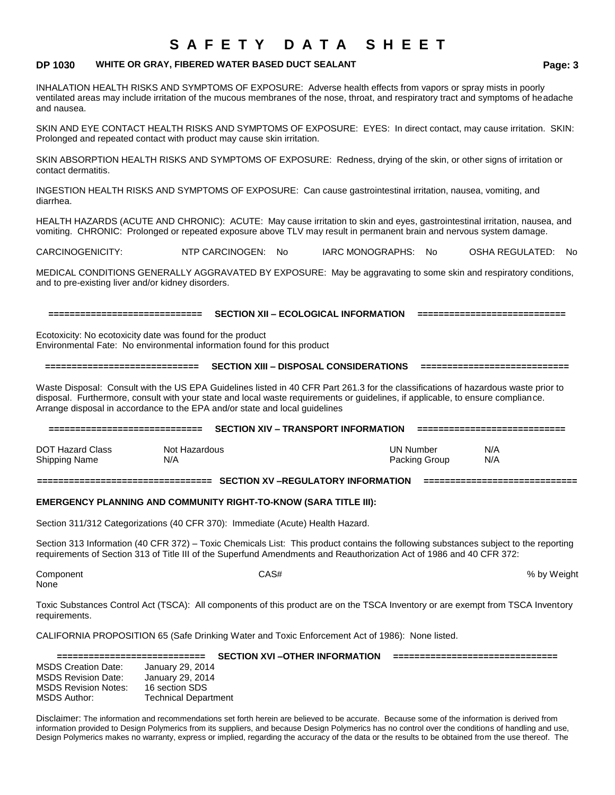### **DP 1030 WHITE OR GRAY, FIBERED WATER BASED DUCT SEALANT Page: 3**

INHALATION HEALTH RISKS AND SYMPTOMS OF EXPOSURE: Adverse health effects from vapors or spray mists in poorly ventilated areas may include irritation of the mucous membranes of the nose, throat, and respiratory tract and symptoms of headache and nausea.

SKIN AND EYE CONTACT HEALTH RISKS AND SYMPTOMS OF EXPOSURE: EYES: In direct contact, may cause irritation. SKIN: Prolonged and repeated contact with product may cause skin irritation.

SKIN ABSORPTION HEALTH RISKS AND SYMPTOMS OF EXPOSURE: Redness, drying of the skin, or other signs of irritation or contact dermatitis.

INGESTION HEALTH RISKS AND SYMPTOMS OF EXPOSURE: Can cause gastrointestinal irritation, nausea, vomiting, and diarrhea.

HEALTH HAZARDS (ACUTE AND CHRONIC): ACUTE: May cause irritation to skin and eyes, gastrointestinal irritation, nausea, and vomiting. CHRONIC: Prolonged or repeated exposure above TLV may result in permanent brain and nervous system damage.

CARCINOGENICITY: NTP CARCINOGEN: No IARC MONOGRAPHS: No OSHA REGULATED: No

MEDICAL CONDITIONS GENERALLY AGGRAVATED BY EXPOSURE: May be aggravating to some skin and respiratory conditions, and to pre-existing liver and/or kidney disorders.

**============================= SECTION XII – ECOLOGICAL INFORMATION ============================**

Ecotoxicity: No ecotoxicity date was found for the product Environmental Fate: No environmental information found for this product

**============================= SECTION XIII – DISPOSAL CONSIDERATIONS ============================**

Waste Disposal: Consult with the US EPA Guidelines listed in 40 CFR Part 261.3 for the classifications of hazardous waste prior to disposal. Furthermore, consult with your state and local waste requirements or guidelines, if applicable, to ensure compliance. Arrange disposal in accordance to the EPA and/or state and local guidelines

| ===============================          |                      | <b>SECTION XIV - TRANSPORT INFORMATION</b> |                            | ===================== |
|------------------------------------------|----------------------|--------------------------------------------|----------------------------|-----------------------|
| <b>DOT Hazard Class</b><br>Shipping Name | Not Hazardous<br>N/A |                                            | UN Number<br>Packing Group | N/A<br>N/A            |

**================================= SECTION XV –REGULATORY INFORMATION =============================**

#### **EMERGENCY PLANNING AND COMMUNITY RIGHT-TO-KNOW (SARA TITLE III):**

Section 311/312 Categorizations (40 CFR 370): Immediate (Acute) Health Hazard.

Section 313 Information (40 CFR 372) – Toxic Chemicals List: This product contains the following substances subject to the reporting requirements of Section 313 of Title III of the Superfund Amendments and Reauthorization Act of 1986 and 40 CFR 372:

None

Component CAS# % by Weight

Toxic Substances Control Act (TSCA): All components of this product are on the TSCA Inventory or are exempt from TSCA Inventory requirements.

CALIFORNIA PROPOSITION 65 (Safe Drinking Water and Toxic Enforcement Act of 1986): None listed.

|                             |                             | <b>SECTION XVI-OTHER INFORMATION</b> |  |
|-----------------------------|-----------------------------|--------------------------------------|--|
| <b>MSDS Creation Date:</b>  | January 29, 2014            |                                      |  |
| <b>MSDS Revision Date:</b>  | January 29, 2014            |                                      |  |
| <b>MSDS Revision Notes:</b> | 16 section SDS              |                                      |  |
| MSDS Author:                | <b>Technical Department</b> |                                      |  |

Disclaimer: The information and recommendations set forth herein are believed to be accurate. Because some of the information is derived from information provided to Design Polymerics from its suppliers, and because Design Polymerics has no control over the conditions of handling and use, Design Polymerics makes no warranty, express or implied, regarding the accuracy of the data or the results to be obtained from the use thereof. The